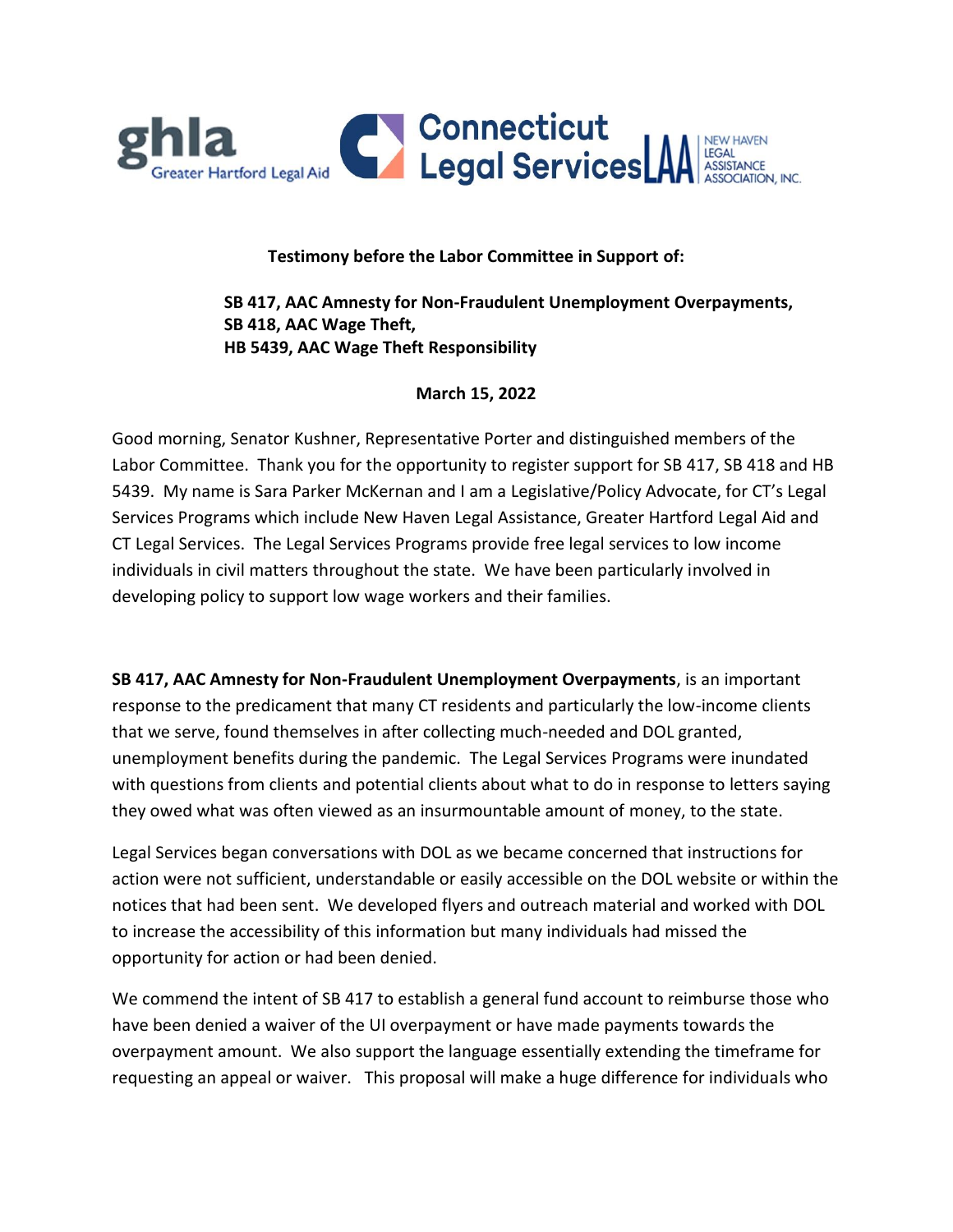

## **Testimony before the Labor Committee in Support of:**

## **SB 417, AAC Amnesty for Non-Fraudulent Unemployment Overpayments, SB 418, AAC Wage Theft, HB 5439, AAC Wage Theft Responsibility**

## **March 15, 2022**

Good morning, Senator Kushner, Representative Porter and distinguished members of the Labor Committee. Thank you for the opportunity to register support for SB 417, SB 418 and HB 5439. My name is Sara Parker McKernan and I am a Legislative/Policy Advocate, for CT's Legal Services Programs which include New Haven Legal Assistance, Greater Hartford Legal Aid and CT Legal Services. The Legal Services Programs provide free legal services to low income individuals in civil matters throughout the state. We have been particularly involved in developing policy to support low wage workers and their families.

**SB 417, AAC Amnesty for Non-Fraudulent Unemployment Overpayments**, is an important response to the predicament that many CT residents and particularly the low-income clients that we serve, found themselves in after collecting much-needed and DOL granted, unemployment benefits during the pandemic. The Legal Services Programs were inundated with questions from clients and potential clients about what to do in response to letters saying they owed what was often viewed as an insurmountable amount of money, to the state.

Legal Services began conversations with DOL as we became concerned that instructions for action were not sufficient, understandable or easily accessible on the DOL website or within the notices that had been sent. We developed flyers and outreach material and worked with DOL to increase the accessibility of this information but many individuals had missed the opportunity for action or had been denied.

We commend the intent of SB 417 to establish a general fund account to reimburse those who have been denied a waiver of the UI overpayment or have made payments towards the overpayment amount. We also support the language essentially extending the timeframe for requesting an appeal or waiver. This proposal will make a huge difference for individuals who